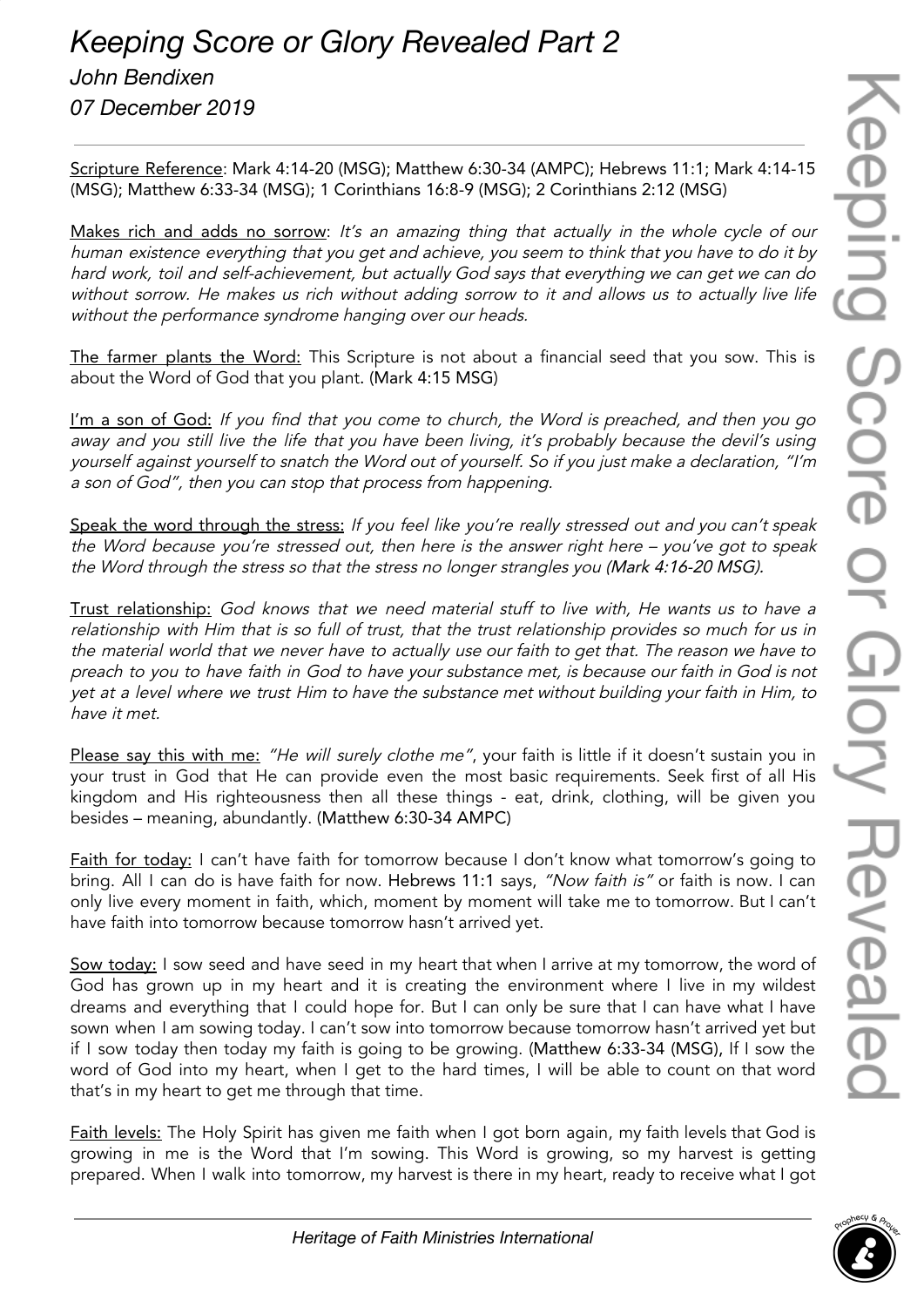Scripture Reference: Mark 4:14-20 (MSG); Matthew 6:30-34 (AMPC); Hebrews 11:1; Mark 4:14-15 (MSG); Matthew 6:33-34 (MSG); 1 Corinthians 16:8-9 (MSG); 2 Corinthians 2:12 (MSG)

Makes rich and adds no sorrow: It's an amazing thing that actually in the whole cycle of our human existence everything that you get and achieve, you seem to think that you have to do it by hard work, toil and self-achievement, but actually God says that everything we can get we can do without sorrow. He makes us rich without adding sorrow to it and allows us to actually live life without the performance syndrome hanging over our heads.

The farmer plants the Word: This Scripture is not about a financial seed that you sow. This is about the Word of God that you plant. (Mark 4:15 MSG)

I'm a son of God: If you find that you come to church, the Word is preached, and then you go away and you still live the life that you have been living, it's probably because the devil's using yourself against yourself to snatch the Word out of yourself. So if you just make <sup>a</sup> declaration, "I'm <sup>a</sup> son of God", then you can stop that process from happening.

Speak the word through the stress: If you feel like you're really stressed out and you can't speak the Word because you're stressed out, then here is the answer right here – you've got to speak the Word through the stress so that the stress no longer strangles you (Mark 4:16-20 MSG).

Trust relationship: God knows that we need material stuff to live with, He wants us to have <sup>a</sup> relationship with Him that is so full of trust, that the trust relationship provides so much for us in the material world that we never have to actually use our faith to get that. The reason we have to preach to you to have faith in God to have your substance met, is because our faith in God is not yet at <sup>a</sup> level where we trust Him to have the substance met without building your faith in Him, to have it met.

Please say this with me: "He will surely clothe me", your faith is little if it doesn't sustain you in your trust in God that He can provide even the most basic requirements. Seek first of all His kingdom and His righteousness then all these things - eat, drink, clothing, will be given you besides – meaning, abundantly. (Matthew 6:30-34 AMPC)

**Faith for today:** I can't have faith for tomorrow because I don't know what tomorrow's going to bring. All I can do is have faith for now. Hebrews 11:1 says, "Now faith is" or faith is now. I can only live every moment in faith, which, moment by moment will take me to tomorrow. But I can't have faith into tomorrow because tomorrow hasn't arrived yet.

Sow today: I sow seed and have seed in my heart that when I arrive at my tomorrow, the word of God has grown up in my heart and it is creating the environment where I live in my wildest dreams and everything that I could hope for. But I can only be sure that I can have what I have sown when I am sowing today. I can't sow into tomorrow because tomorrow hasn't arrived yet but if I sow today then today my faith is going to be growing. (Matthew 6:33-34 (MSG), If I sow the word of God into my heart, when I get to the hard times, I will be able to count on that word that's in my heart to get me through that time.

Faith levels: The Holy Spirit has given me faith when I got born again, my faith levels that God is growing in me is the Word that I'm sowing. This Word is growing, so my harvest is getting prepared. When I walk into tomorrow, my harvest is there in my heart, ready to receive what I got

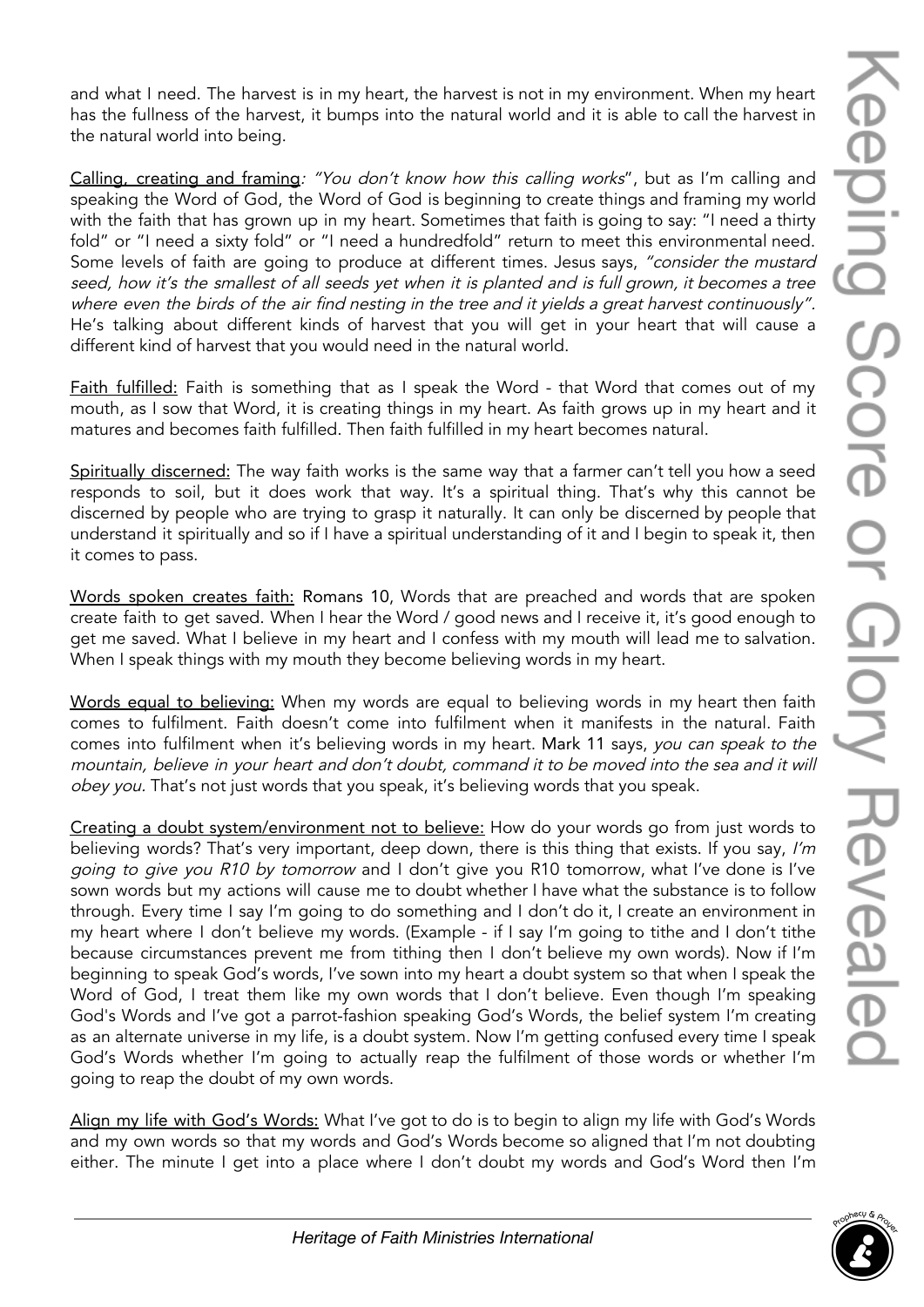and what I need. The harvest is in my heart, the harvest is not in my environment. When my heart has the fullness of the harvest, it bumps into the natural world and it is able to call the harvest in the natural world into being.

Calling, creating and framing: "You don't know how this calling works", but as I'm calling and speaking the Word of God, the Word of God is beginning to create things and framing my world with the faith that has grown up in my heart. Sometimes that faith is going to say: "I need a thirty fold" or "I need a sixty fold" or "I need a hundredfold" return to meet this environmental need. Some levels of faith are going to produce at different times. Jesus says, "consider the mustard seed, how it's the smallest of all seeds yet when it is planted and is full grown, it becomes <sup>a</sup> tree where even the birds of the air find nesting in the tree and it yields a great harvest continuously". He's talking about different kinds of harvest that you will get in your heart that will cause a different kind of harvest that you would need in the natural world.

Faith fulfilled: Faith is something that as I speak the Word - that Word that comes out of my mouth, as I sow that Word, it is creating things in my heart. As faith grows up in my heart and it matures and becomes faith fulfilled. Then faith fulfilled in my heart becomes natural.

Spiritually discerned: The way faith works is the same way that a farmer can't tell you how a seed responds to soil, but it does work that way. It's a spiritual thing. That's why this cannot be discerned by people who are trying to grasp it naturally. It can only be discerned by people that understand it spiritually and so if I have a spiritual understanding of it and I begin to speak it, then it comes to pass.

Words spoken creates faith: Romans 10, Words that are preached and words that are spoken create faith to get saved. When I hear the Word / good news and I receive it, it's good enough to get me saved. What I believe in my heart and I confess with my mouth will lead me to salvation. When I speak things with my mouth they become believing words in my heart.

Words equal to believing: When my words are equal to believing words in my heart then faith comes to fulfilment. Faith doesn't come into fulfilment when it manifests in the natural. Faith comes into fulfilment when it's believing words in my heart. Mark 11 says, you can speak to the mountain, believe in your heart and don't doubt, command it to be moved into the sea and it will obey you. That's not just words that you speak, it's believing words that you speak.

Creating a doubt system/environment not to believe: How do your words go from just words to believing words? That's very important, deep down, there is this thing that exists. If you say, I'm going to give you R10 by tomorrow and I don't give you R10 tomorrow, what I've done is I've sown words but my actions will cause me to doubt whether I have what the substance is to follow through. Every time I say I'm going to do something and I don't do it, I create an environment in my heart where I don't believe my words. (Example - if I say I'm going to tithe and I don't tithe because circumstances prevent me from tithing then I don't believe my own words). Now if I'm beginning to speak God's words, I've sown into my heart a doubt system so that when I speak the Word of God, I treat them like my own words that I don't believe. Even though I'm speaking God's Words and I've got a parrot-fashion speaking God's Words, the belief system I'm creating as an alternate universe in my life, is a doubt system. Now I'm getting confused every time I speak God's Words whether I'm going to actually reap the fulfilment of those words or whether I'm going to reap the doubt of my own words.

Align my life with God's Words: What I've got to do is to begin to align my life with God's Words and my own words so that my words and God's Words become so aligned that I'm not doubting either. The minute I get into a place where I don't doubt my words and God's Word then I'm

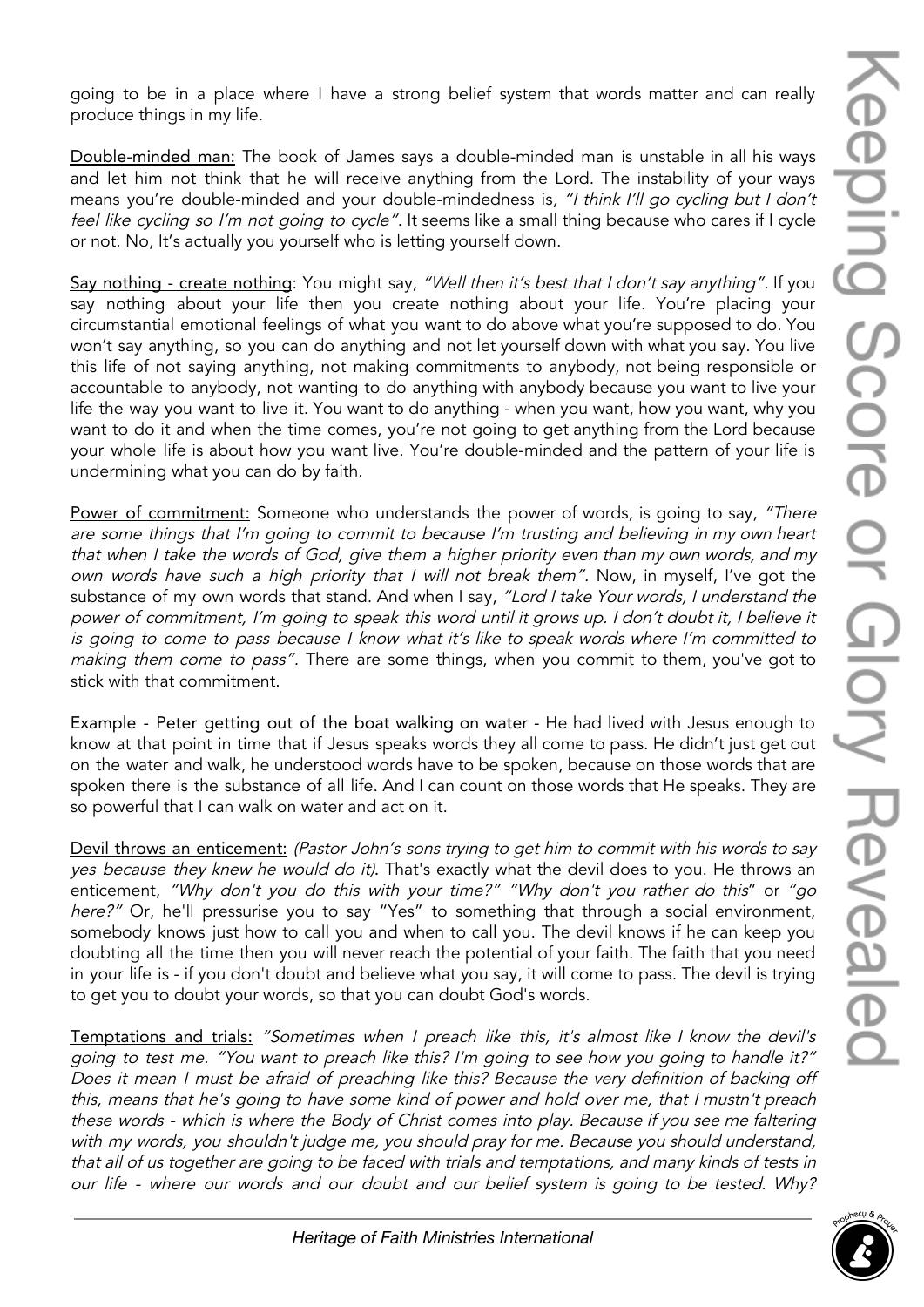going to be in a place where I have a strong belief system that words matter and can really produce things in my life.

Double-minded man: The book of James says a double-minded man is unstable in all his ways and let him not think that he will receive anything from the Lord. The instability of your ways means you're double-minded and your double-mindedness is, "I think I'll go cycling but I don't feel like cycling so I'm not going to cycle". It seems like a small thing because who cares if I cycle or not. No, It's actually you yourself who is letting yourself down.

Say nothing - create nothing: You might say, "Well then it's best that I don't say anything". If you say nothing about your life then you create nothing about your life. You're placing your circumstantial emotional feelings of what you want to do above what you're supposed to do. You won't say anything, so you can do anything and not let yourself down with what you say. You live this life of not saying anything, not making commitments to anybody, not being responsible or accountable to anybody, not wanting to do anything with anybody because you want to live your life the way you want to live it. You want to do anything - when you want, how you want, why you want to do it and when the time comes, you're not going to get anything from the Lord because your whole life is about how you want live. You're double-minded and the pattern of your life is undermining what you can do by faith.

Power of commitment: Someone who understands the power of words, is going to say, "There are some things that I'm going to commit to because I'm trusting and believing in my own heart that when <sup>I</sup> take the words of God, <sup>g</sup>ive them <sup>a</sup> higher priority even than my own words, and my own words have such <sup>a</sup> high priority that <sup>I</sup> will not break them". Now, in myself, I've got the substance of my own words that stand. And when I say, "Lord I take Your words, I understand the power of commitment, I'm going to speak this word until it grows up. <sup>I</sup> don't doubt it, <sup>I</sup> believe it is going to come to pass because <sup>I</sup> know what it's like to speak words where I'm committed to making them come to pass". There are some things, when you commit to them, you've got to stick with that commitment.

Example - Peter getting out of the boat walking on water - He had lived with Jesus enough to know at that point in time that if Jesus speaks words they all come to pass. He didn't just get out on the water and walk, he understood words have to be spoken, because on those words that are spoken there is the substance of all life. And I can count on those words that He speaks. They are so powerful that I can walk on water and act on it.

Devil throws an enticement: (Pastor John's sons trying to get him to commit with his words to say yes because they knew he would do it). That's exactly what the devil does to you. He throws an enticement, "Why don't you do this with your time?" "Why don't you rather do this" or "go here?" Or, he'll pressurise you to say "Yes" to something that through a social environment, somebody knows just how to call you and when to call you. The devil knows if he can keep you doubting all the time then you will never reach the potential of your faith. The faith that you need in your life is - if you don't doubt and believe what you say, it will come to pass. The devil is trying to get you to doubt your words, so that you can doubt God's words.

Temptations and trials: "Sometimes when <sup>I</sup> preach like this, it's almost like <sup>I</sup> know the devil's going to test me. "You want to preach like this? I'm going to see how you going to handle it?" Does it mean <sup>I</sup> must be afraid of preaching like this? Because the very definition of backing off this, means that he's going to have some kind of power and hold over me, that <sup>I</sup> mustn't preach these words - which is where the Body of Christ comes into play. Because if you see me faltering with my words, you shouldn't judge me, you should pray for me. Because you should understand, that all of us together are going to be faced with trials and temptations, and many kinds of tests in our life - where our words and our doubt and our belief system is going to be tested. Why?

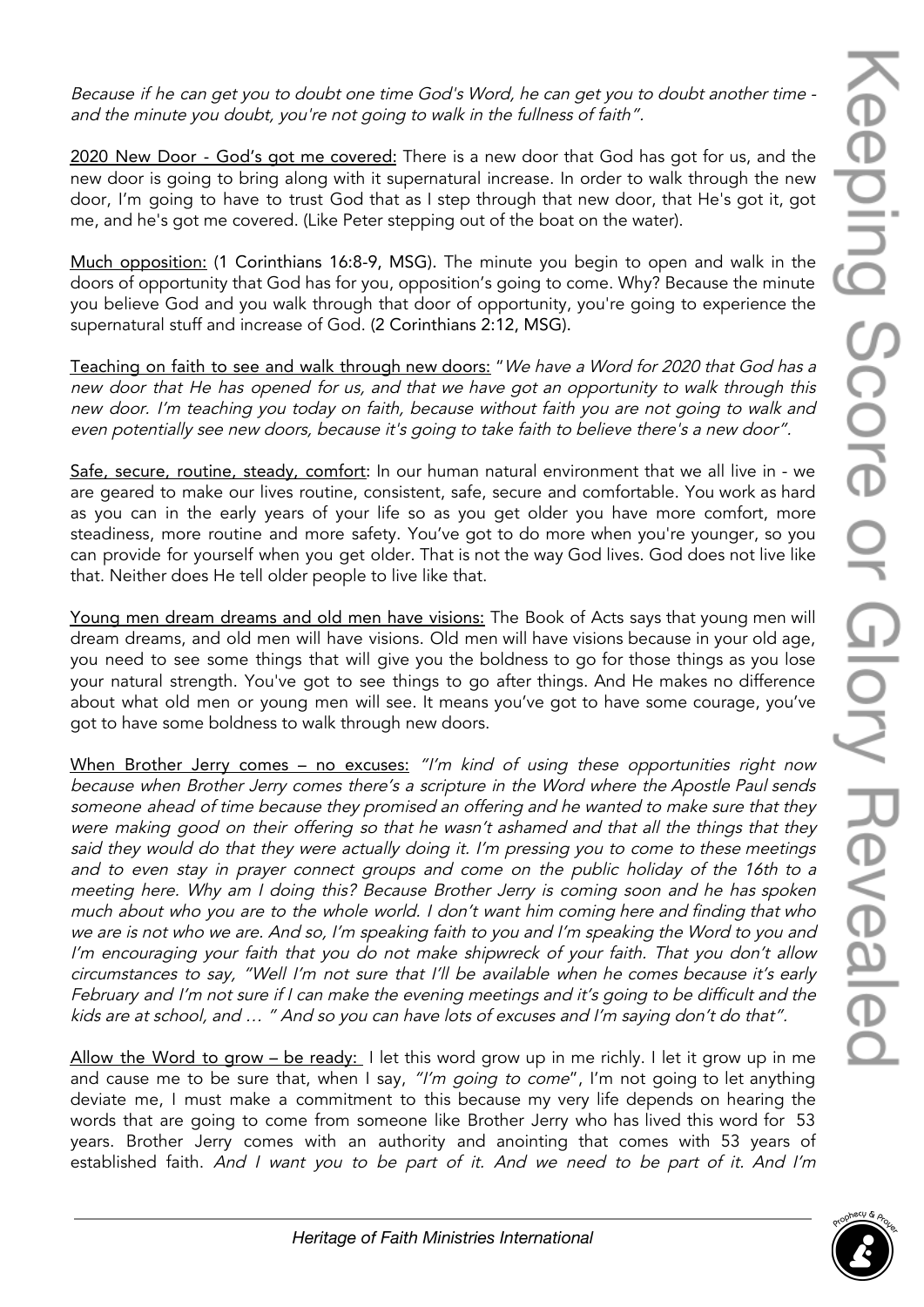Because if he can get you to doubt one time God's Word, he can get you to doubt another time and the minute you doubt, you're not going to walk in the fullness of faith".

2020 New Door - God's got me covered: There is a new door that God has got for us, and the new door is going to bring along with it supernatural increase. In order to walk through the new door, I'm going to have to trust God that as I step through that new door, that He's got it, got me, and he's got me covered. (Like Peter stepping out of the boat on the water).

Much opposition: (1 Corinthians 16:8-9, MSG). The minute you begin to open and walk in the doors of opportunity that God has for you, opposition's going to come. Why? Because the minute you believe God and you walk through that door of opportunity, you're going to experience the supernatural stuff and increase of God. (2 Corinthians 2:12, MSG).

Teaching on faith to see and walk through new doors: "We have <sup>a</sup> Word for 2020 that God has <sup>a</sup> new door that He has opened for us, and that we have got an opportunity to walk through this new door. I'm teaching you today on faith, because without faith you are not going to walk and even potentially see new doors, because it's going to take faith to believe there's <sup>a</sup> new door".

Safe, secure, routine, steady, comfort: In our human natural environment that we all live in - we are geared to make our lives routine, consistent, safe, secure and comfortable. You work as hard as you can in the early years of your life so as you get older you have more comfort, more steadiness, more routine and more safety. You've got to do more when you're younger, so you can provide for yourself when you get older. That is not the way God lives. God does not live like that. Neither does He tell older people to live like that.

Young men dream dreams and old men have visions: The Book of Acts says that young men will dream dreams, and old men will have visions. Old men will have visions because in your old age, you need to see some things that will give you the boldness to go for those things as you lose your natural strength. You've got to see things to go after things. And He makes no difference about what old men or young men will see. It means you've got to have some courage, you've got to have some boldness to walk through new doors.

When Brother Jerry comes - no excuses: "I'm kind of using these opportunities right now because when Brother Jerry comes there's <sup>a</sup> scripture in the Word where the Apostle Paul sends someone ahead of time because they promised an offering and he wanted to make sure that they were making good on their offering so that he wasn't ashamed and that all the things that they said they would do that they were actually doing it. I'm pressing you to come to these meetings and to even stay in prayer connect groups and come on the public holiday of the 16th to <sup>a</sup> meeting here. Why am <sup>I</sup> doing this? Because Brother Jerry is coming soon and he has spoken much about who you are to the whole world. I don't want him coming here and finding that who we are is not who we are. And so, I'm speaking faith to you and I'm speaking the Word to you and I'm encouraging your faith that you do not make shipwreck of your faith. That you don't allow circumstances to say, "Well I'm not sure that I'll be available when he comes because it's early February and I'm not sure if I can make the evening meetings and it's going to be difficult and the kids are at school, and … " And so you can have lots of excuses and I'm saying don't do that".

Allow the Word to grow – be ready: I let this word grow up in me richly. I let it grow up in me and cause me to be sure that, when I say, "I'm going to come", I'm not going to let anything deviate me, I must make a commitment to this because my very life depends on hearing the words that are going to come from someone like Brother Jerry who has lived this word for 53 years. Brother Jerry comes with an authority and anointing that comes with 53 years of established faith. And I want you to be part of it. And we need to be part of it. And I'm